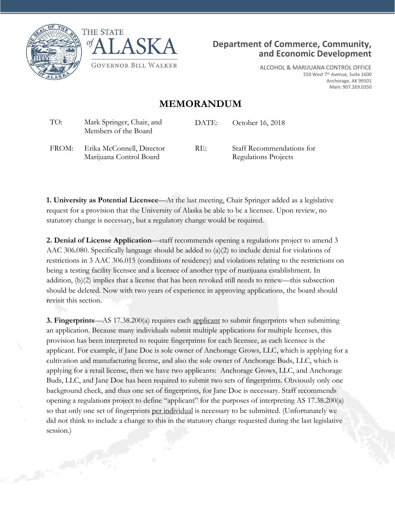





ALCOHOL & MARIJUANA CONTROL OFFICE 550 West 7<sup>th</sup> Avenue, Suite 1600 Anchorage, AK 99501 Main: 907.269.0350

## **MEMORANDUM**

| TO:   | Mark Springer, Chair, and<br>Members of the Board    | DATE: | October 16, 2018                                         |
|-------|------------------------------------------------------|-------|----------------------------------------------------------|
| FROM: | Erika McConnell, Director<br>Marijuana Control Board | RE:   | Staff Recommendations for<br><b>Regulations Projects</b> |

**1. University as Potential Licensee**—At the last meeting, Chair Springer added as a legislative request for a provision that the University of Alaska be able to be a licensee. Upon review, no statutory change is necessary, but a regulatory change would be required.

**2. Denial of License Application**—staff recommends opening a regulations project to amend 3 AAC 306.080. Specifically language should be added to (a)(2) to include denial for violations of restrictions in 3 AAC 306.015 (conditions of residency) and violations relating to the restrictions on being a testing facility licensee and a licensee of another type of marijuana establishment. In addition, (b)(2) implies that a license that has been revoked still needs to renew—this subsection should be deleted. Now with two years of experience in approving applications, the board should revisit this section.

**3. Fingerprints**—AS 17.38.200(a) requires each applicant to submit fingerprints when submitting an application. Because many individuals submit multiple applications for multiple licenses, this provision has been interpreted to require fingerprints for each licensee, as each licensee is the applicant. For example, if Jane Doe is sole owner of Anchorage Grows, LLC, which is applying for a cultivation and manufacturing license, and also the sole owner of Anchorage Buds, LLC, which is applying for a retail license, then we have two applicants: Anchorage Grows, LLC, and Anchorage Buds, LLC, and Jane Doe has been required to submit two sets of fingerprints. Obviously only one background check, and thus one set of fingerprints, for Jane Doe is necessary. Staff recommends opening a regulations project to define "applicant" for the purposes of interpreting AS 17.38.200(a) so that only one set of fingerprints per individual is necessary to be submitted. (Unfortunately we did not think to include a change to this in the statutory change requested during the last legislative session.)